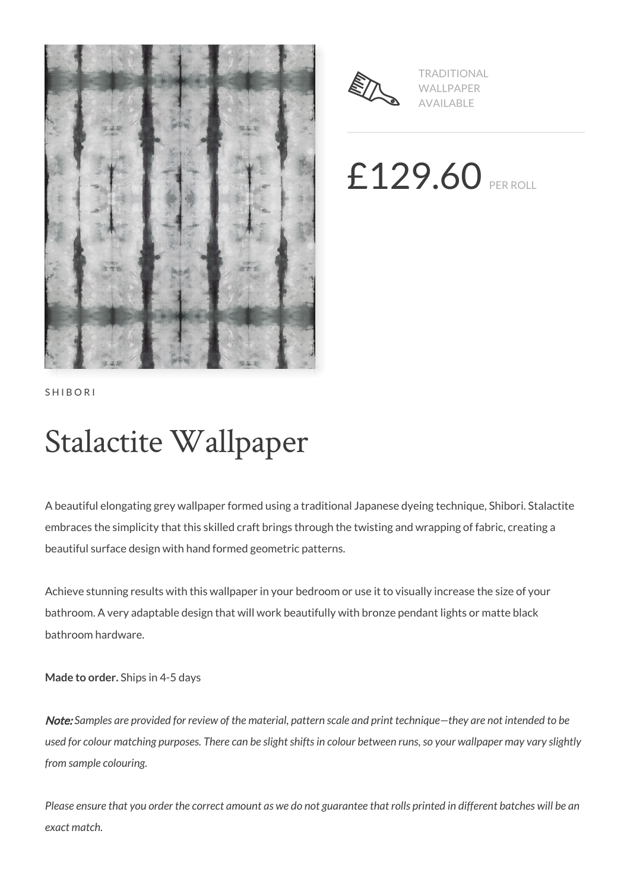



TRADITIONAL WALLPAPER AVAILABLE

£129.60 PER ROLL

SHIBORI

# Stalactite Wallpaper

A beautiful elongating grey wallpaper formed using a traditional Japanese dyeing technique, Shibori. Stalactite embraces the simplicity that this skilled craft brings through the twisting and wrapping of fabric, creating a beautiful surface design with hand formed geometric patterns.

Achieve stunning results with this wallpaper in your bedroom or use it to visually increase the size of your bathroom. A very adaptable design that will work beautifully with bronze pendant lights or matte black bathroom hardware.

**Made to order.** Ships in 4-5 days

Note: *Samples are provided for review of the material, pattern scale and print technique—they are not intended to be used for colour matching purposes. There can be slight shifts in colour between runs, so your wallpaper may vary slightly from sample colouring.*

*Please ensure that you order the correct amount as we do not guarantee that rolls printed in different batches will be an exact match.*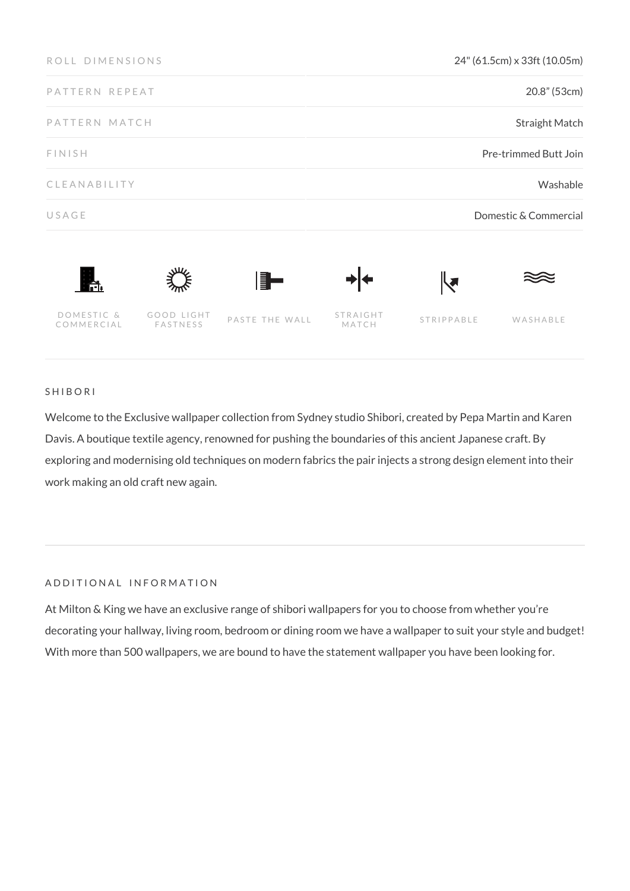| ROLL DIMENSIONS          |                        |                | 24" (61.5cm) x 33ft (10.05m) |                      |          |
|--------------------------|------------------------|----------------|------------------------------|----------------------|----------|
| PATTERN REPEAT           |                        |                | 20.8" (53cm)                 |                      |          |
| PATTERN MATCH            |                        |                | Straight Match               |                      |          |
| FINISH                   |                        |                | Pre-trimmed Butt Join        |                      |          |
| CLEANABILITY             |                        |                | Washable                     |                      |          |
| USAGE                    |                        |                | Domestic & Commercial        |                      |          |
| Ħ.                       |                        | ▌▊▅            |                              | $\blacktriangledown$ |          |
| DOMESTIC &<br>COMMERCIAL | GOOD LIGHT<br>FASTNESS | PASTE THE WALL | STRAIGHT<br>MATCH            | STRIPPABLE           | WASHABLE |

## SHIBORI

Welcome to the Exclusive wallpaper collection from Sydney studio Shibori, created by Pepa Martin and Karen Davis. A boutique textile agency, renowned for pushing the boundaries of this ancient Japanese craft. By exploring and modernising old techniques on modern fabrics the pair injects a strong design element into their work making an old craft new again.

#### ADDITIONAL INFORMATION

At Milton & King we have an exclusive range of shibori wallpapers for you to choose from whether you're decorating your hallway, living room, bedroom or dining room we have a wallpaper to suit your style and budget! With more than 500 wallpapers, we are bound to have the statement wallpaper you have been looking for.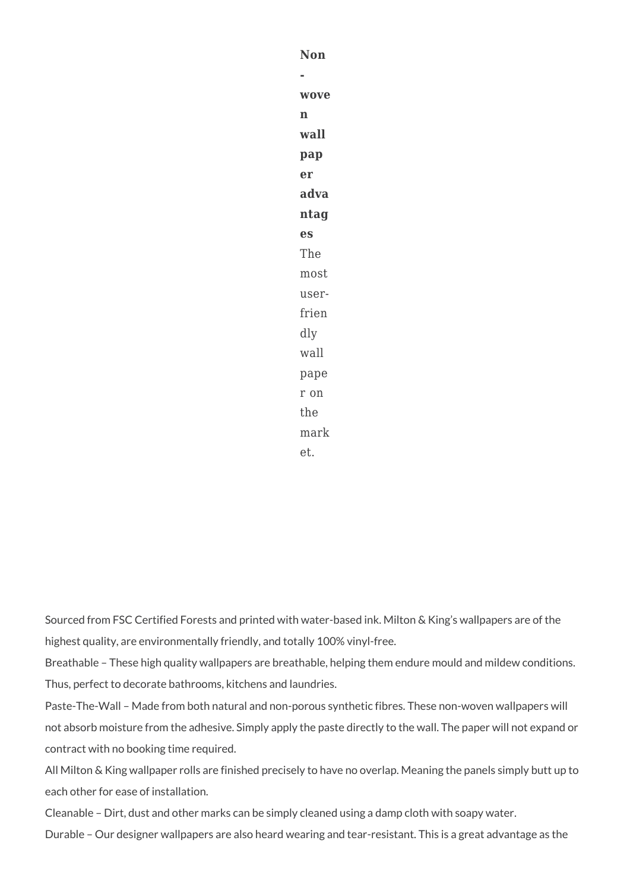**Non wove n wall pap er adva ntag es** The most userfrien dly wall pape r on the mark et.

Sourced from FSC Certified Forests and printed with water-based ink. Milton & King's wallpapers are of the highest quality, are environmentally friendly, and totally 100% vinyl-free.

Breathable – These high quality wallpapers are breathable, helping them endure mould and mildew conditions. Thus, perfect to decorate bathrooms, kitchens and laundries.

Paste-The-Wall – Made from both natural and non-porous synthetic fibres. These non-woven wallpapers will not absorb moisture from the adhesive. Simply apply the paste directly to the wall. The paper will not expand or contract with no booking time required.

All Milton & King wallpaper rolls are finished precisely to have no overlap. Meaning the panels simply butt up to each other for ease of installation.

Cleanable – Dirt, dust and other marks can be simply cleaned using a damp cloth with soapy water.

Durable – Our designer wallpapers are also heard wearing and tear-resistant. This is a great advantage as the